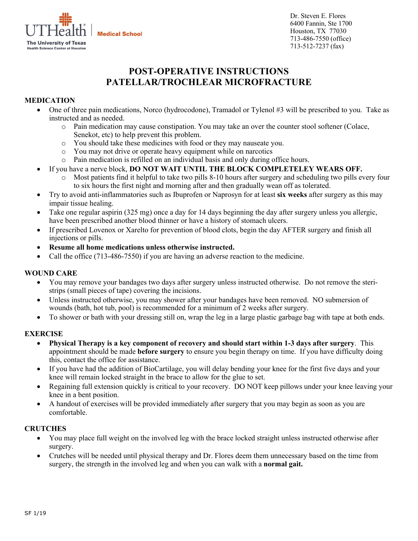

Dr. Steven E. Flores 6400 Fannin, Ste 1700 Houston, TX 77030 713-486-7550 (office) 713-512-7237 (fax)

# **POST-OPERATIVE INSTRUCTIONS PATELLAR/TROCHLEAR MICROFRACTURE**

# **MEDICATION**

- One of three pain medications, Norco (hydrocodone), Tramadol or Tylenol #3 will be prescribed to you. Take as instructed and as needed.
	- o Pain medication may cause constipation. You may take an over the counter stool softener (Colace, Senekot, etc) to help prevent this problem.
	- o You should take these medicines with food or they may nauseate you.
	- o You may not drive or operate heavy equipment while on narcotics
	- o Pain medication is refilled on an individual basis and only during office hours.
- If you have a nerve block, **DO NOT WAIT UNTIL THE BLOCK COMPLETELEY WEARS OFF.** 
	- o Most patients find it helpful to take two pills 8-10 hours after surgery and scheduling two pills every four to six hours the first night and morning after and then gradually wean off as tolerated.
- Try to avoid anti-inflammatories such as Ibuprofen or Naprosyn for at least **six weeks** after surgery as this may impair tissue healing.
- Take one regular aspirin (325 mg) once a day for 14 days beginning the day after surgery unless you allergic, have been prescribed another blood thinner or have a history of stomach ulcers.
- If prescribed Lovenox or Xarelto for prevention of blood clots, begin the day AFTER surgery and finish all injections or pills.
- **Resume all home medications unless otherwise instructed.**
- Call the office (713-486-7550) if you are having an adverse reaction to the medicine.

## **WOUND CARE**

- You may remove your bandages two days after surgery unless instructed otherwise. Do not remove the steristrips (small pieces of tape) covering the incisions.
- Unless instructed otherwise, you may shower after your bandages have been removed. NO submersion of wounds (bath, hot tub, pool) is recommended for a minimum of 2 weeks after surgery.
- To shower or bath with your dressing still on, wrap the leg in a large plastic garbage bag with tape at both ends.

## **EXERCISE**

- **Physical Therapy is a key component of recovery and should start within 1-3 days after surgery**. This appointment should be made **before surgery** to ensure you begin therapy on time. If you have difficulty doing this, contact the office for assistance.
- If you have had the addition of BioCartilage, you will delay bending your knee for the first five days and your knee will remain locked straight in the brace to allow for the glue to set.
- Regaining full extension quickly is critical to your recovery. DO NOT keep pillows under your knee leaving your knee in a bent position.
- A handout of exercises will be provided immediately after surgery that you may begin as soon as you are comfortable.

## **CRUTCHES**

- You may place full weight on the involved leg with the brace locked straight unless instructed otherwise after surgery.
- Crutches will be needed until physical therapy and Dr. Flores deem them unnecessary based on the time from surgery, the strength in the involved leg and when you can walk with a **normal gait.**